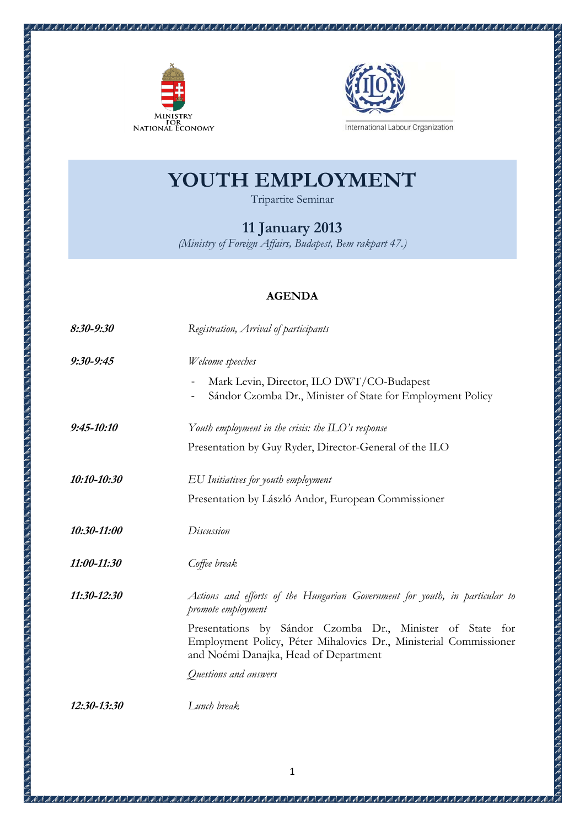



International Labour Organization

## **YOUTH EMPLOYMENT**

Tripartite Seminar

## **11 January 2013**

*(Ministry of Foreign Affairs, Budapest, Bem rakpart 47.)* 

## **AGENDA**

| $8:30 - 9:30$  | Registration, Arrival of participants                                                                                                                                   |
|----------------|-------------------------------------------------------------------------------------------------------------------------------------------------------------------------|
| $9:30 - 9:45$  | Welcome speeches                                                                                                                                                        |
|                | Mark Levin, Director, ILO DWT/CO-Budapest<br>Sándor Czomba Dr., Minister of State for Employment Policy                                                                 |
| $9:45 - 10:10$ | Youth employment in the crisis: the ILO's response                                                                                                                      |
|                | Presentation by Guy Ryder, Director-General of the ILO                                                                                                                  |
| 10:10-10:30    | EU Initiatives for youth employment                                                                                                                                     |
|                | Presentation by László Andor, European Commissioner                                                                                                                     |
| 10:30-11:00    | Discussion                                                                                                                                                              |
| 11:00-11:30    | Coffee break                                                                                                                                                            |
| 11:30-12:30    | Actions and efforts of the Hungarian Government for youth, in particular to<br>promote employment                                                                       |
|                | Presentations by Sándor Czomba Dr., Minister of State for<br>Employment Policy, Péter Mihalovics Dr., Ministerial Commissioner<br>and Noémi Danajka, Head of Department |
|                | Questions and answers                                                                                                                                                   |
| 12:30-13:30    | Lunch break                                                                                                                                                             |